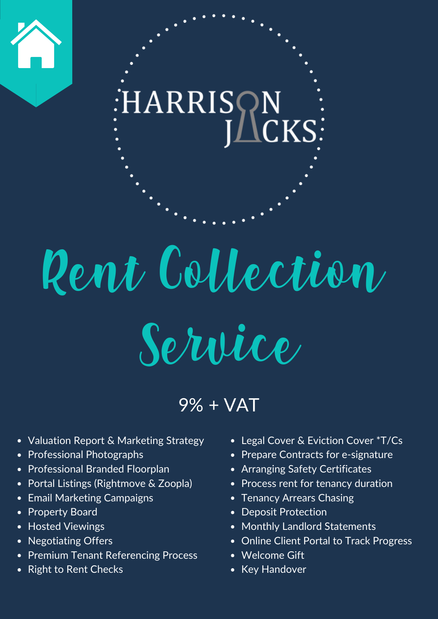

## Rent Collection Service

9% + VAT

- Valuation Report & Marketing Strategy
- Professional Photographs
- Professional Branded Floorplan
- Portal Listings (Rightmove & Zoopla)
- Email Marketing Campaigns
- Property Board
- Hosted Viewings
- Negotiating Offers
- Premium Tenant Referencing Process
- Right to Rent Checks
- Legal Cover & Eviction Cover \*T/Cs
- Prepare Contracts for e-signature
- Arranging Safety Certificates
- Process rent for tenancy duration
- Tenancy Arrears Chasing
- Deposit Protection
- Monthly Landlord Statements
- Online Client Portal to Track Progress
- Welcome Gift
- Key Handover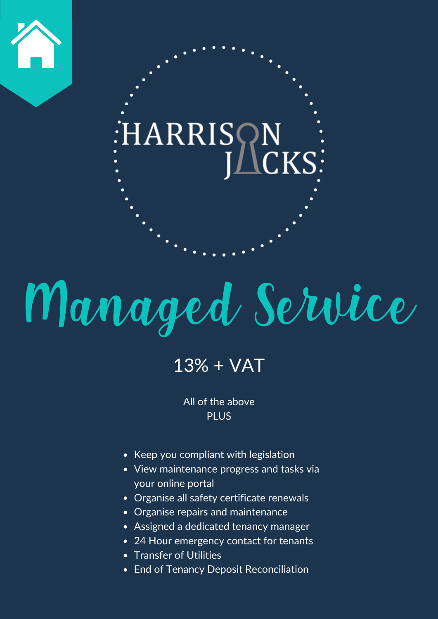

## Managed Service

#### 13% + VAT

All of the above **PLUS** 

- Keep you compliant with legislation
- View maintenance progress and tasks via your online portal
- Organise all safety certificate renewals
- Organise repairs and maintenance
- Assigned a dedicated tenancy manager
- 24 Hour emergency contact for tenants
- Transfer of Utilities
- End of Tenancy Deposit Reconciliation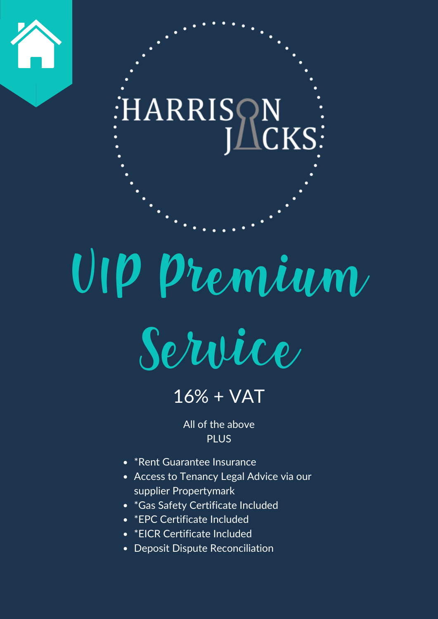

## VIP Premium



### 16% + VAT

All of the above PLUS

- \*Rent Guarantee Insurance
- Access to Tenancy Legal Advice via our supplier Propertymark
- \*Gas Safety Certificate Included
- \*EPC Certificate Included
- \* EICR Certificate Included
- Deposit Dispute Reconciliation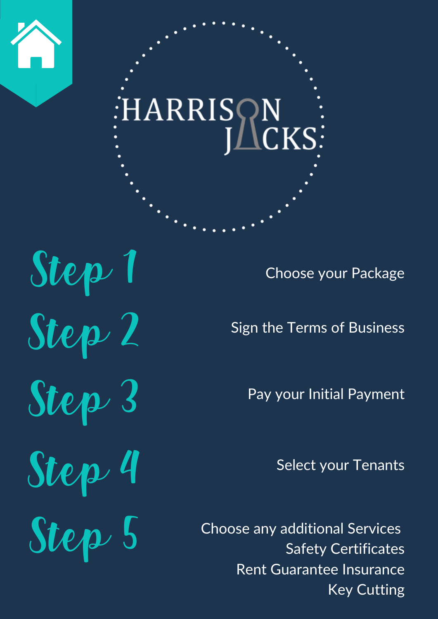

Step 1 Step 2 Step 3 Step 4

Choose your Package

Sign the Terms of Business

Pay your Initial Payment

Select your Tenants

Step 5 Choose any additional Services Safety Certificates Rent Guarantee Insurance Key Cutting